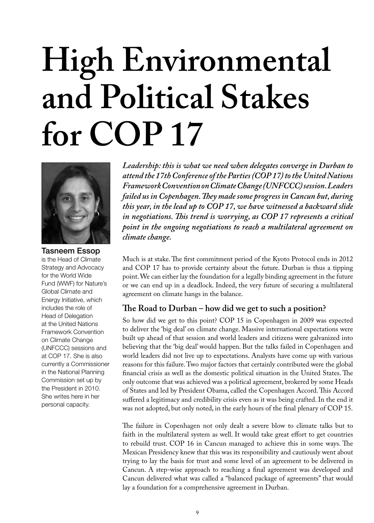# **High Environmental and Political Stakes for COP 17**



Tasneem Essop is the Head of Climate Strategy and Advocacy for the World Wide Fund (WWF) for Nature's Global Climate and Energy Initiative, which includes the role of Head of Delegation at the United Nations Framework Convention on Climate Change (UNFCCC) sessions and at COP 17. She is also currently a Commissioner in the National Planning Commission set up by the President in 2010. She writes here in her personal capacity.

*Leadership: this is what we need when delegates converge in Durban to attend the 17th Conference of the Parties (COP 17) to the United Nations Framework Convention on Climate Change (UNFCCC) session. Leaders failed us in Copenhagen. They made some progress in Cancun but, during this year, in the lead up to COP 17, we have witnessed a backward slide in negotiations. This trend is worrying, as COP 17 represents a critical point in the ongoing negotiations to reach a multilateral agreement on climate change.*

Much is at stake. The first commitment period of the Kyoto Protocol ends in 2012 and COP 17 has to provide certainty about the future. Durban is thus a tipping point. We can either lay the foundation for a legally binding agreement in the future or we can end up in a deadlock. Indeed, the very future of securing a multilateral agreement on climate hangs in the balance.

# **The Road to Durban – how did we get to such a position?**

So how did we get to this point? COP 15 in Copenhagen in 2009 was expected to deliver the 'big deal' on climate change. Massive international expectations were built up ahead of that session and world leaders and citizens were galvanized into believing that the 'big deal' would happen. But the talks failed in Copenhagen and world leaders did not live up to expectations. Analysts have come up with various reasons for this failure. Two major factors that certainly contributed were the global financial crisis as well as the domestic political situation in the United States. The only outcome that was achieved was a political agreement, brokered by some Heads of States and led by President Obama, called the Copenhagen Accord. This Accord suffered a legitimacy and credibility crisis even as it was being crafted. In the end it was not adopted, but only noted, in the early hours of the final plenary of COP 15.

The failure in Copenhagen not only dealt a severe blow to climate talks but to faith in the multilateral system as well. It would take great effort to get countries to rebuild trust. COP 16 in Cancun managed to achieve this in some ways. The Mexican Presidency knew that this was its responsibility and cautiously went about trying to lay the basis for trust and some level of an agreement to be delivered in Cancun. A step-wise approach to reaching a final agreement was developed and Cancun delivered what was called a "balanced package of agreements" that would lay a foundation for a comprehensive agreement in Durban.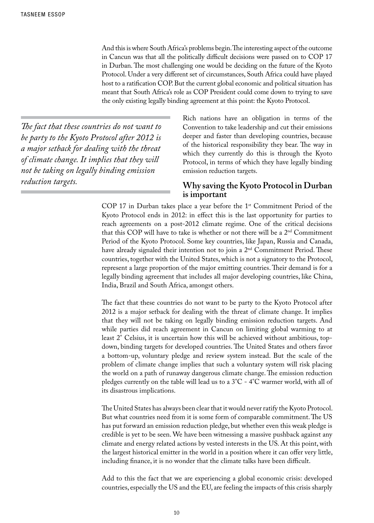And this is where South Africa's problems begin. The interesting aspect of the outcome in Cancun was that all the politically difficult decisions were passed on to COP 17 in Durban. The most challenging one would be deciding on the future of the Kyoto Protocol. Under a very different set of circumstances, South Africa could have played host to a ratification COP. But the current global economic and political situation has meant that South Africa's role as COP President could come down to trying to save the only existing legally binding agreement at this point: the Kyoto Protocol.

*The fact that these countries do not want to be party to the Kyoto Protocol after 2012 is a major setback for dealing with the threat of climate change. It implies that they will not be taking on legally binding emission reduction targets.*

Rich nations have an obligation in terms of the Convention to take leadership and cut their emissions deeper and faster than developing countries, because of the historical responsibility they bear. The way in which they currently do this is through the Kyoto Protocol, in terms of which they have legally binding emission reduction targets.

### **Why saving the Kyoto Protocol in Durban is important**

COP 17 in Durban takes place a year before the 1<sup>st</sup> Commitment Period of the Kyoto Protocol ends in 2012: in effect this is the last opportunity for parties to reach agreements on a post-2012 climate regime. One of the critical decisions that this COP will have to take is whether or not there will be a 2nd Commitment Period of the Kyoto Protocol. Some key countries, like Japan, Russia and Canada, have already signaled their intention not to join a 2<sup>nd</sup> Commitment Period. These countries, together with the United States, which is not a signatory to the Protocol, represent a large proportion of the major emitting countries. Their demand is for a legally binding agreement that includes all major developing countries, like China, India, Brazil and South Africa, amongst others.

The fact that these countries do not want to be party to the Kyoto Protocol after 2012 is a major setback for dealing with the threat of climate change. It implies that they will not be taking on legally binding emission reduction targets. And while parties did reach agreement in Cancun on limiting global warming to at least 2° Celsius, it is uncertain how this will be achieved without ambitious, topdown, binding targets for developed countries. The United States and others favor a bottom-up, voluntary pledge and review system instead. But the scale of the problem of climate change implies that such a voluntary system will risk placing the world on a path of runaway dangerous climate change. The emission reduction pledges currently on the table will lead us to a  $3^{\circ}$ C -  $4^{\circ}$ C warmer world, with all of its disastrous implications.

The United States has always been clear that it would never ratify the Kyoto Protocol. But what countries need from it is some form of comparable commitment. The US has put forward an emission reduction pledge, but whether even this weak pledge is credible is yet to be seen. We have been witnessing a massive pushback against any climate and energy related actions by vested interests in the US. At this point, with the largest historical emitter in the world in a position where it can offer very little, including finance, it is no wonder that the climate talks have been difficult.

Add to this the fact that we are experiencing a global economic crisis: developed countries, especially the US and the EU, are feeling the impacts of this crisis sharply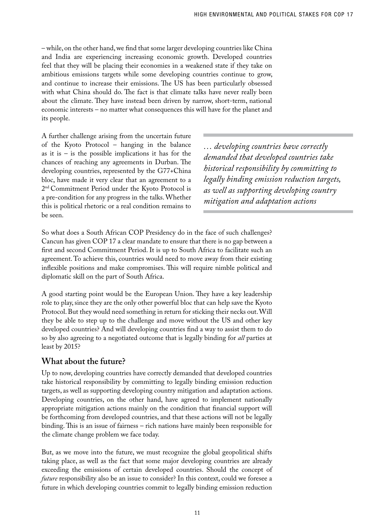– while, on the other hand, we find that some larger developing countries like China and India are experiencing increasing economic growth. Developed countries feel that they will be placing their economies in a weakened state if they take on ambitious emissions targets while some developing countries continue to grow, and continue to increase their emissions. The US has been particularly obsessed with what China should do. The fact is that climate talks have never really been about the climate. They have instead been driven by narrow, short-term, national economic interests – no matter what consequences this will have for the planet and its people.

A further challenge arising from the uncertain future of the Kyoto Protocol – hanging in the balance as it is  $-$  is the possible implications it has for the chances of reaching any agreements in Durban. The developing countries, represented by the G77+China bloc, have made it very clear that an agreement to a 2nd Commitment Period under the Kyoto Protocol is a pre-condition for any progress in the talks. Whether this is political rhetoric or a real condition remains to be seen.

*… developing countries have correctly demanded that developed countries take historical responsibility by committing to legally binding emission reduction targets, as well as supporting developing country mitigation and adaptation actions*

So what does a South African COP Presidency do in the face of such challenges? Cancun has given COP 17 a clear mandate to ensure that there is no gap between a first and second Commitment Period. It is up to South Africa to facilitate such an agreement. To achieve this, countries would need to move away from their existing inflexible positions and make compromises. This will require nimble political and diplomatic skill on the part of South Africa.

A good starting point would be the European Union. They have a key leadership role to play, since they are the only other powerful bloc that can help save the Kyoto Protocol. But they would need something in return for sticking their necks out. Will they be able to step up to the challenge and move without the US and other key developed countries? And will developing countries find a way to assist them to do so by also agreeing to a negotiated outcome that is legally binding for *all* parties at least by 2015?

## **What about the future?**

Up to now, developing countries have correctly demanded that developed countries take historical responsibility by committing to legally binding emission reduction targets, as well as supporting developing country mitigation and adaptation actions. Developing countries, on the other hand, have agreed to implement nationally appropriate mitigation actions mainly on the condition that financial support will be forthcoming from developed countries, and that these actions will not be legally binding. This is an issue of fairness – rich nations have mainly been responsible for the climate change problem we face today.

But, as we move into the future, we must recognize the global geopolitical shifts taking place, as well as the fact that some major developing countries are already exceeding the emissions of certain developed countries. Should the concept of *future* responsibility also be an issue to consider? In this context, could we foresee a future in which developing countries commit to legally binding emission reduction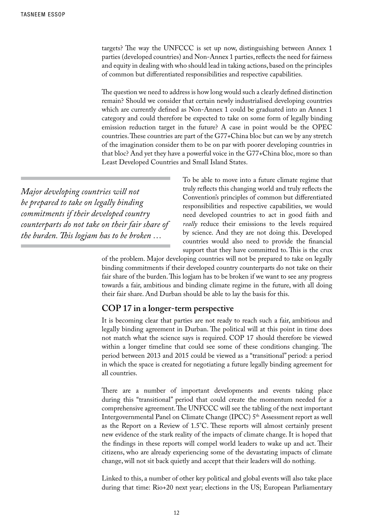targets? The way the UNFCCC is set up now, distinguishing between Annex 1 parties (developed countries) and Non-Annex 1 parties, reflects the need for fairness and equity in dealing with who should lead in taking actions, based on the principles of common but differentiated responsibilities and respective capabilities.

The question we need to address is how long would such a clearly defined distinction remain? Should we consider that certain newly industrialised developing countries which are currently defined as Non-Annex 1 could be graduated into an Annex 1 category and could therefore be expected to take on some form of legally binding emission reduction target in the future? A case in point would be the OPEC countries. These countries are part of the G77+China bloc but can we by any stretch of the imagination consider them to be on par with poorer developing countries in that bloc? And yet they have a powerful voice in the G77+China bloc, more so than Least Developed Countries and Small Island States.

*Major developing countries will not be prepared to take on legally binding commitments if their developed country counterparts do not take on their fair share of the burden. This logjam has to be broken …*

To be able to move into a future climate regime that truly reflects this changing world and truly reflects the Convention's principles of common but differentiated responsibilities and respective capabilities, we would need developed countries to act in good faith and *really* reduce their emissions to the levels required by science. And they are not doing this. Developed countries would also need to provide the financial support that they have committed to. This is the crux

of the problem. Major developing countries will not be prepared to take on legally binding commitments if their developed country counterparts do not take on their fair share of the burden. This logjam has to be broken if we want to see any progress towards a fair, ambitious and binding climate regime in the future, with all doing their fair share. And Durban should be able to lay the basis for this.

### **COP 17 in a longer-term perspective**

It is becoming clear that parties are not ready to reach such a fair, ambitious and legally binding agreement in Durban. The political will at this point in time does not match what the science says is required. COP 17 should therefore be viewed within a longer timeline that could see some of these conditions changing. The period between 2013 and 2015 could be viewed as a "transitional" period: a period in which the space is created for negotiating a future legally binding agreement for all countries.

There are a number of important developments and events taking place during this "transitional" period that could create the momentum needed for a comprehensive agreement. The UNFCCC will see the tabling of the next important Intergovernmental Panel on Climate Change (IPCC) 5th Assessment report as well as the Report on a Review of 1.5°C. These reports will almost certainly present new evidence of the stark reality of the impacts of climate change. It is hoped that the findings in these reports will compel world leaders to wake up and act. Their citizens, who are already experiencing some of the devastating impacts of climate change, will not sit back quietly and accept that their leaders will do nothing.

Linked to this, a number of other key political and global events will also take place during that time: Rio+20 next year; elections in the US; European Parliamentary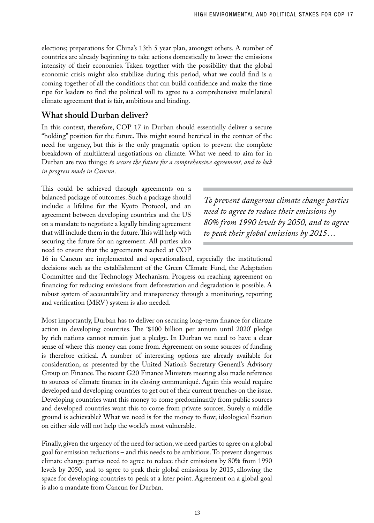elections; preparations for China's 13th 5 year plan, amongst others. A number of countries are already beginning to take actions domestically to lower the emissions intensity of their economies. Taken together with the possibility that the global economic crisis might also stabilize during this period, what we could find is a coming together of all the conditions that can build confidence and make the time ripe for leaders to find the political will to agree to a comprehensive multilateral climate agreement that is fair, ambitious and binding.

## **What should Durban deliver?**

In this context, therefore, COP 17 in Durban should essentially deliver a secure "holding" position for the future. This might sound heretical in the context of the need for urgency, but this is the only pragmatic option to prevent the complete breakdown of multilateral negotiations on climate. What we need to aim for in Durban are two things: *to secure the future for a comprehensive agreement, and to lock in progress made in Cancun*.

This could be achieved through agreements on a balanced package of outcomes. Such a package should include: a lifeline for the Kyoto Protocol, and an agreement between developing countries and the US on a mandate to negotiate a legally binding agreement that will include them in the future. This will help with securing the future for an agreement. All parties also need to ensure that the agreements reached at COP

*To prevent dangerous climate change parties need to agree to reduce their emissions by 80% from 1990 levels by 2050, and to agree to peak their global emissions by 2015…*

16 in Cancun are implemented and operationalised, especially the institutional decisions such as the establishment of the Green Climate Fund, the Adaptation Committee and the Technology Mechanism. Progress on reaching agreement on financing for reducing emissions from deforestation and degradation is possible. A robust system of accountability and transparency through a monitoring, reporting and verification (MRV) system is also needed.

Most importantly, Durban has to deliver on securing long-term finance for climate action in developing countries. The '\$100 billion per annum until 2020' pledge by rich nations cannot remain just a pledge. In Durban we need to have a clear sense of where this money can come from. Agreement on some sources of funding is therefore critical. A number of interesting options are already available for consideration, as presented by the United Nation's Secretary General's Advisory Group on Finance. The recent G20 Finance Ministers meeting also made reference to sources of climate finance in its closing communiqué. Again this would require developed and developing countries to get out of their current trenches on the issue. Developing countries want this money to come predominantly from public sources and developed countries want this to come from private sources. Surely a middle ground is achievable? What we need is for the money to flow; ideological fixation on either side will not help the world's most vulnerable.

Finally, given the urgency of the need for action, we need parties to agree on a global goal for emission reductions – and this needs to be ambitious. To prevent dangerous climate change parties need to agree to reduce their emissions by 80% from 1990 levels by 2050, and to agree to peak their global emissions by 2015, allowing the space for developing countries to peak at a later point. Agreement on a global goal is also a mandate from Cancun for Durban.